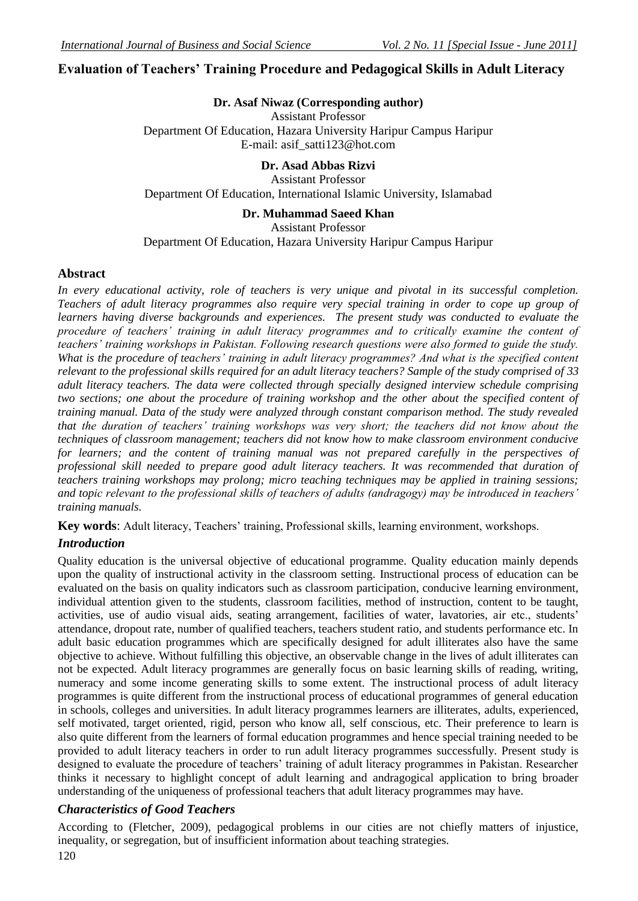# **Evaluation of Teachers' Training Procedure and Pedagogical Skills in Adult Literacy**

## **Dr. Asaf Niwaz (Corresponding author)**

Assistant Professor Department Of Education, Hazara University Haripur Campus Haripur E-mail: asif\_satti123@hot.com

# **Dr. Asad Abbas Rizvi**

Assistant Professor Department Of Education, International Islamic University, Islamabad

### **Dr. Muhammad Saeed Khan**

Assistant Professor

## Department Of Education, Hazara University Haripur Campus Haripur

### **Abstract**

*In every educational activity, role of teachers is very unique and pivotal in its successful completion. Teachers of adult literacy programmes also require very special training in order to cope up group of learners having diverse backgrounds and experiences. The present study was conducted to evaluate the procedure of teachers' training in adult literacy programmes and to critically examine the content of teachers' training workshops in Pakistan. Following research questions were also formed to guide the study. What is the procedure of teachers' training in adult literacy programmes? And what is the specified content relevant to the professional skills required for an adult literacy teachers? Sample of the study comprised of 33 adult literacy teachers. The data were collected through specially designed interview schedule comprising two sections; one about the procedure of training workshop and the other about the specified content of training manual. Data of the study were analyzed through constant comparison method. The study revealed that the duration of teachers' training workshops was very short; the teachers did not know about the techniques of classroom management; teachers did not know how to make classroom environment conducive for learners; and the content of training manual was not prepared carefully in the perspectives of professional skill needed to prepare good adult literacy teachers. It was recommended that duration of teachers training workshops may prolong; micro teaching techniques may be applied in training sessions; and topic relevant to the professional skills of teachers of adults (andragogy) may be introduced in teachers' training manuals.*

Key words: Adult literacy, Teachers' training, Professional skills, learning environment, workshops.

## *Introduction*

Quality education is the universal objective of educational programme. Quality education mainly depends upon the quality of instructional activity in the classroom setting. Instructional process of education can be evaluated on the basis on quality indicators such as classroom participation, conducive learning environment, individual attention given to the students, classroom facilities, method of instruction, content to be taught, activities, use of audio visual aids, seating arrangement, facilities of water, lavatories, air etc., students' attendance, dropout rate, number of qualified teachers, teachers student ratio, and students performance etc. In adult basic education programmes which are specifically designed for adult illiterates also have the same objective to achieve. Without fulfilling this objective, an observable change in the lives of adult illiterates can not be expected. Adult literacy programmes are generally focus on basic learning skills of reading, writing, numeracy and some income generating skills to some extent. The instructional process of adult literacy programmes is quite different from the instructional process of educational programmes of general education in schools, colleges and universities. In adult literacy programmes learners are illiterates, adults, experienced, self motivated, target oriented, rigid, person who know all, self conscious, etc. Their preference to learn is also quite different from the learners of formal education programmes and hence special training needed to be provided to adult literacy teachers in order to run adult literacy programmes successfully. Present study is designed to evaluate the procedure of teachers' training of adult literacy programmes in Pakistan. Researcher thinks it necessary to highlight concept of adult learning and andragogical application to bring broader understanding of the uniqueness of professional teachers that adult literacy programmes may have.

## *Characteristics of Good Teachers*

120 According to (Fletcher, 2009), pedagogical problems in our cities are not chiefly matters of injustice, inequality, or segregation, but of insufficient information about teaching strategies.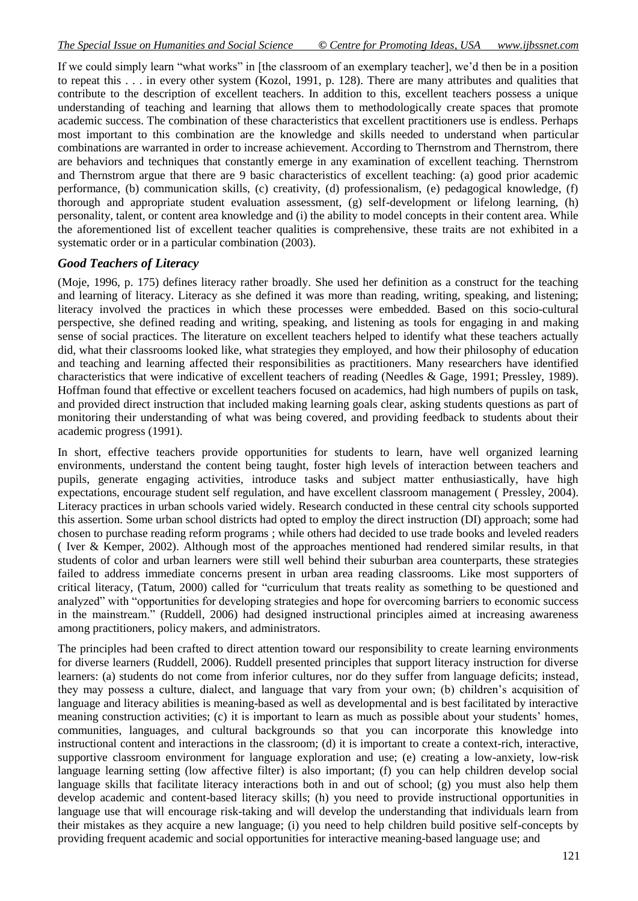If we could simply learn "what works" in [the classroom of an exemplary teacher], we"d then be in a position to repeat this . . . in every other system (Kozol, 1991, p. 128). There are many attributes and qualities that contribute to the description of excellent teachers. In addition to this, excellent teachers possess a unique understanding of teaching and learning that allows them to methodologically create spaces that promote academic success. The combination of these characteristics that excellent practitioners use is endless. Perhaps most important to this combination are the knowledge and skills needed to understand when particular combinations are warranted in order to increase achievement. According to Thernstrom and Thernstrom, there are behaviors and techniques that constantly emerge in any examination of excellent teaching. Thernstrom and Thernstrom argue that there are 9 basic characteristics of excellent teaching: (a) good prior academic performance, (b) communication skills, (c) creativity, (d) professionalism, (e) pedagogical knowledge, (f) thorough and appropriate student evaluation assessment, (g) self-development or lifelong learning, (h) personality, talent, or content area knowledge and (i) the ability to model concepts in their content area. While the aforementioned list of excellent teacher qualities is comprehensive, these traits are not exhibited in a systematic order or in a particular combination (2003).

## *Good Teachers of Literacy*

(Moje, 1996, p. 175) defines literacy rather broadly. She used her definition as a construct for the teaching and learning of literacy. Literacy as she defined it was more than reading, writing, speaking, and listening; literacy involved the practices in which these processes were embedded. Based on this socio-cultural perspective, she defined reading and writing, speaking, and listening as tools for engaging in and making sense of social practices. The literature on excellent teachers helped to identify what these teachers actually did, what their classrooms looked like, what strategies they employed, and how their philosophy of education and teaching and learning affected their responsibilities as practitioners. Many researchers have identified characteristics that were indicative of excellent teachers of reading (Needles & Gage, 1991; Pressley, 1989). Hoffman found that effective or excellent teachers focused on academics, had high numbers of pupils on task, and provided direct instruction that included making learning goals clear, asking students questions as part of monitoring their understanding of what was being covered, and providing feedback to students about their academic progress (1991).

In short, effective teachers provide opportunities for students to learn, have well organized learning environments, understand the content being taught, foster high levels of interaction between teachers and pupils, generate engaging activities, introduce tasks and subject matter enthusiastically, have high expectations, encourage student self regulation, and have excellent classroom management ( Pressley, 2004). Literacy practices in urban schools varied widely. Research conducted in these central city schools supported this assertion. Some urban school districts had opted to employ the direct instruction (DI) approach; some had chosen to purchase reading reform programs ; while others had decided to use trade books and leveled readers ( Iver & Kemper, 2002). Although most of the approaches mentioned had rendered similar results, in that students of color and urban learners were still well behind their suburban area counterparts, these strategies failed to address immediate concerns present in urban area reading classrooms. Like most supporters of critical literacy, (Tatum, 2000) called for "curriculum that treats reality as something to be questioned and analyzed" with "opportunities for developing strategies and hope for overcoming barriers to economic success in the mainstream." (Ruddell, 2006) had designed instructional principles aimed at increasing awareness among practitioners, policy makers, and administrators.

The principles had been crafted to direct attention toward our responsibility to create learning environments for diverse learners (Ruddell, 2006). Ruddell presented principles that support literacy instruction for diverse learners: (a) students do not come from inferior cultures, nor do they suffer from language deficits; instead, they may possess a culture, dialect, and language that vary from your own; (b) children"s acquisition of language and literacy abilities is meaning-based as well as developmental and is best facilitated by interactive meaning construction activities; (c) it is important to learn as much as possible about your students" homes, communities, languages, and cultural backgrounds so that you can incorporate this knowledge into instructional content and interactions in the classroom; (d) it is important to create a context-rich, interactive, supportive classroom environment for language exploration and use; (e) creating a low-anxiety, low-risk language learning setting (low affective filter) is also important; (f) you can help children develop social language skills that facilitate literacy interactions both in and out of school; (g) you must also help them develop academic and content-based literacy skills; (h) you need to provide instructional opportunities in language use that will encourage risk-taking and will develop the understanding that individuals learn from their mistakes as they acquire a new language; (i) you need to help children build positive self-concepts by providing frequent academic and social opportunities for interactive meaning-based language use; and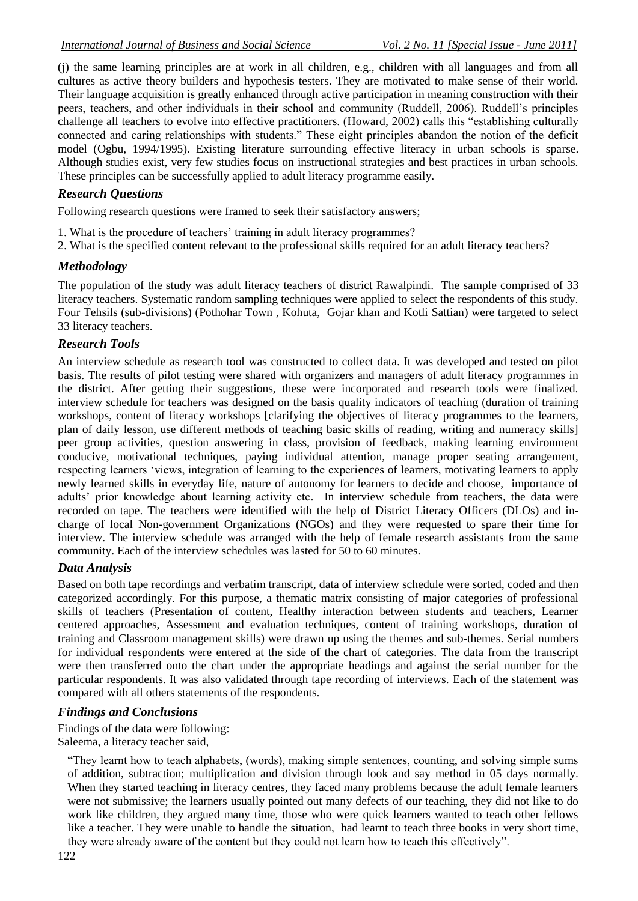(j) the same learning principles are at work in all children, e.g., children with all languages and from all cultures as active theory builders and hypothesis testers. They are motivated to make sense of their world. Their language acquisition is greatly enhanced through active participation in meaning construction with their peers, teachers, and other individuals in their school and community (Ruddell, 2006). Ruddell"s principles challenge all teachers to evolve into effective practitioners. (Howard, 2002) calls this "establishing culturally connected and caring relationships with students." These eight principles abandon the notion of the deficit model (Ogbu, 1994/1995). Existing literature surrounding effective literacy in urban schools is sparse. Although studies exist, very few studies focus on instructional strategies and best practices in urban schools. These principles can be successfully applied to adult literacy programme easily.

## *Research Questions*

Following research questions were framed to seek their satisfactory answers;

- 1. What is the procedure of teachers' training in adult literacy programmes?
- 2. What is the specified content relevant to the professional skills required for an adult literacy teachers?

## *Methodology*

The population of the study was adult literacy teachers of district Rawalpindi. The sample comprised of 33 literacy teachers. Systematic random sampling techniques were applied to select the respondents of this study. Four Tehsils (sub-divisions) (Pothohar Town , Kohuta, Gojar khan and Kotli Sattian) were targeted to select 33 literacy teachers.

## *Research Tools*

An interview schedule as research tool was constructed to collect data. It was developed and tested on pilot basis. The results of pilot testing were shared with organizers and managers of adult literacy programmes in the district. After getting their suggestions, these were incorporated and research tools were finalized. interview schedule for teachers was designed on the basis quality indicators of teaching (duration of training workshops, content of literacy workshops [clarifying the objectives of literacy programmes to the learners, plan of daily lesson, use different methods of teaching basic skills of reading, writing and numeracy skills] peer group activities, question answering in class, provision of feedback, making learning environment conducive, motivational techniques, paying individual attention, manage proper seating arrangement, respecting learners "views, integration of learning to the experiences of learners, motivating learners to apply newly learned skills in everyday life, nature of autonomy for learners to decide and choose, importance of adults" prior knowledge about learning activity etc. In interview schedule from teachers, the data were recorded on tape. The teachers were identified with the help of District Literacy Officers (DLOs) and incharge of local Non-government Organizations (NGOs) and they were requested to spare their time for interview. The interview schedule was arranged with the help of female research assistants from the same community. Each of the interview schedules was lasted for 50 to 60 minutes.

## *Data Analysis*

Based on both tape recordings and verbatim transcript, data of interview schedule were sorted, coded and then categorized accordingly. For this purpose, a thematic matrix consisting of major categories of professional skills of teachers (Presentation of content, Healthy interaction between students and teachers, Learner centered approaches, Assessment and evaluation techniques, content of training workshops, duration of training and Classroom management skills) were drawn up using the themes and sub-themes. Serial numbers for individual respondents were entered at the side of the chart of categories. The data from the transcript were then transferred onto the chart under the appropriate headings and against the serial number for the particular respondents. It was also validated through tape recording of interviews. Each of the statement was compared with all others statements of the respondents.

## *Findings and Conclusions*

Findings of the data were following:

Saleema, a literacy teacher said,

"They learnt how to teach alphabets, (words), making simple sentences, counting, and solving simple sums of addition, subtraction; multiplication and division through look and say method in 05 days normally. When they started teaching in literacy centres, they faced many problems because the adult female learners were not submissive; the learners usually pointed out many defects of our teaching, they did not like to do work like children, they argued many time, those who were quick learners wanted to teach other fellows like a teacher. They were unable to handle the situation, had learnt to teach three books in very short time, they were already aware of the content but they could not learn how to teach this effectively".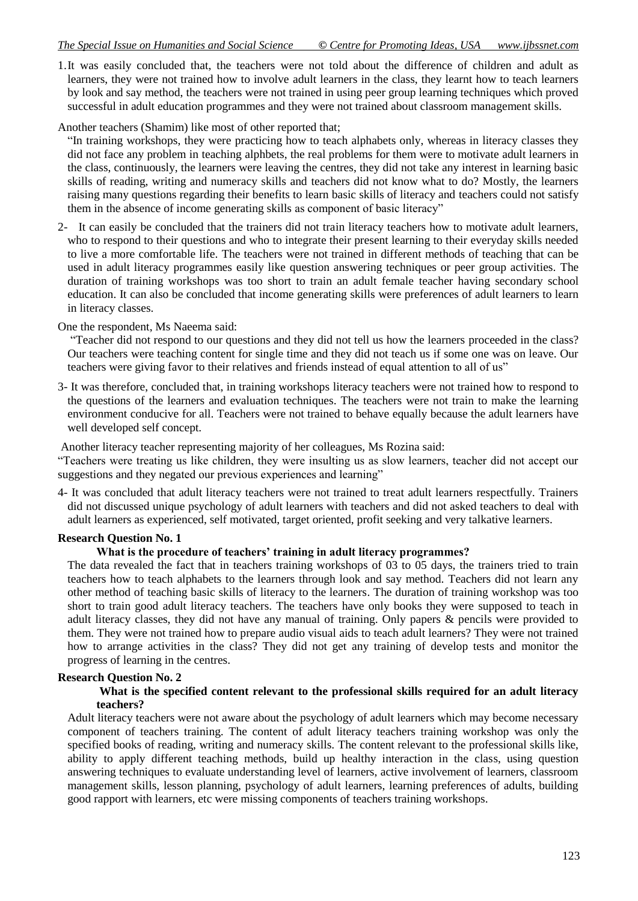#### *The Special Issue on Humanities and Social Science © Centre for Promoting Ideas, USA www.ijbssnet.com*

1.It was easily concluded that, the teachers were not told about the difference of children and adult as learners, they were not trained how to involve adult learners in the class, they learnt how to teach learners by look and say method, the teachers were not trained in using peer group learning techniques which proved successful in adult education programmes and they were not trained about classroom management skills.

## Another teachers (Shamim) like most of other reported that;

"In training workshops, they were practicing how to teach alphabets only, whereas in literacy classes they did not face any problem in teaching alphbets, the real problems for them were to motivate adult learners in the class, continuously, the learners were leaving the centres, they did not take any interest in learning basic skills of reading, writing and numeracy skills and teachers did not know what to do? Mostly, the learners raising many questions regarding their benefits to learn basic skills of literacy and teachers could not satisfy them in the absence of income generating skills as component of basic literacy"

2- It can easily be concluded that the trainers did not train literacy teachers how to motivate adult learners, who to respond to their questions and who to integrate their present learning to their everyday skills needed to live a more comfortable life. The teachers were not trained in different methods of teaching that can be used in adult literacy programmes easily like question answering techniques or peer group activities. The duration of training workshops was too short to train an adult female teacher having secondary school education. It can also be concluded that income generating skills were preferences of adult learners to learn in literacy classes.

#### One the respondent, Ms Naeema said:

"Teacher did not respond to our questions and they did not tell us how the learners proceeded in the class? Our teachers were teaching content for single time and they did not teach us if some one was on leave. Our teachers were giving favor to their relatives and friends instead of equal attention to all of us"

3- It was therefore, concluded that, in training workshops literacy teachers were not trained how to respond to the questions of the learners and evaluation techniques. The teachers were not train to make the learning environment conducive for all. Teachers were not trained to behave equally because the adult learners have well developed self concept.

Another literacy teacher representing majority of her colleagues, Ms Rozina said:

"Teachers were treating us like children, they were insulting us as slow learners, teacher did not accept our suggestions and they negated our previous experiences and learning"

4- It was concluded that adult literacy teachers were not trained to treat adult learners respectfully. Trainers did not discussed unique psychology of adult learners with teachers and did not asked teachers to deal with adult learners as experienced, self motivated, target oriented, profit seeking and very talkative learners.

#### **Research Question No. 1**

### **What is the procedure of teachers' training in adult literacy programmes?**

The data revealed the fact that in teachers training workshops of 03 to 05 days, the trainers tried to train teachers how to teach alphabets to the learners through look and say method. Teachers did not learn any other method of teaching basic skills of literacy to the learners. The duration of training workshop was too short to train good adult literacy teachers. The teachers have only books they were supposed to teach in adult literacy classes, they did not have any manual of training. Only papers & pencils were provided to them. They were not trained how to prepare audio visual aids to teach adult learners? They were not trained how to arrange activities in the class? They did not get any training of develop tests and monitor the progress of learning in the centres.

#### **Research Question No. 2**

#### **What is the specified content relevant to the professional skills required for an adult literacy teachers?**

Adult literacy teachers were not aware about the psychology of adult learners which may become necessary component of teachers training. The content of adult literacy teachers training workshop was only the specified books of reading, writing and numeracy skills. The content relevant to the professional skills like, ability to apply different teaching methods, build up healthy interaction in the class, using question answering techniques to evaluate understanding level of learners, active involvement of learners, classroom management skills, lesson planning, psychology of adult learners, learning preferences of adults, building good rapport with learners, etc were missing components of teachers training workshops.